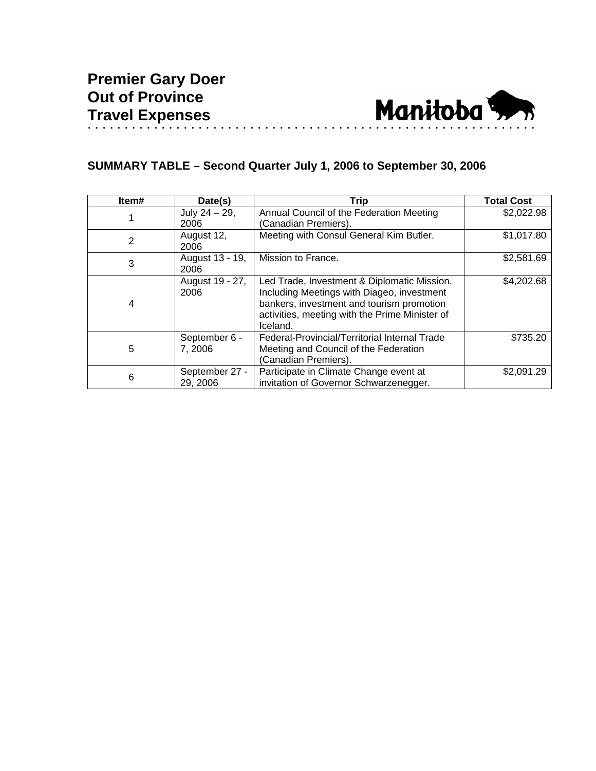

# **SUMMARY TABLE – Second Quarter July 1, 2006 to September 30, 2006**

| Item#          | Date(s)          | <b>Trip</b>                                    | <b>Total Cost</b> |
|----------------|------------------|------------------------------------------------|-------------------|
|                | July $24 - 29$ , | Annual Council of the Federation Meeting       | \$2,022.98        |
|                | 2006             | (Canadian Premiers).                           |                   |
| $\overline{2}$ | August 12,       | Meeting with Consul General Kim Butler.        | \$1,017.80        |
|                | 2006             |                                                |                   |
| 3              | August 13 - 19,  | Mission to France.                             | \$2,581.69        |
|                | 2006             |                                                |                   |
| 4              | August 19 - 27,  | Led Trade, Investment & Diplomatic Mission.    | \$4,202.68        |
|                | 2006             | Including Meetings with Diageo, investment     |                   |
|                |                  | bankers, investment and tourism promotion      |                   |
|                |                  | activities, meeting with the Prime Minister of |                   |
|                |                  | Iceland.                                       |                   |
| 5              | September 6 -    | Federal-Provincial/Territorial Internal Trade  | \$735.20          |
|                | 7, 2006          | Meeting and Council of the Federation          |                   |
|                |                  | (Canadian Premiers).                           |                   |
| 6              | September 27 -   | Participate in Climate Change event at         | \$2,091.29        |
|                | 29, 2006         | invitation of Governor Schwarzenegger.         |                   |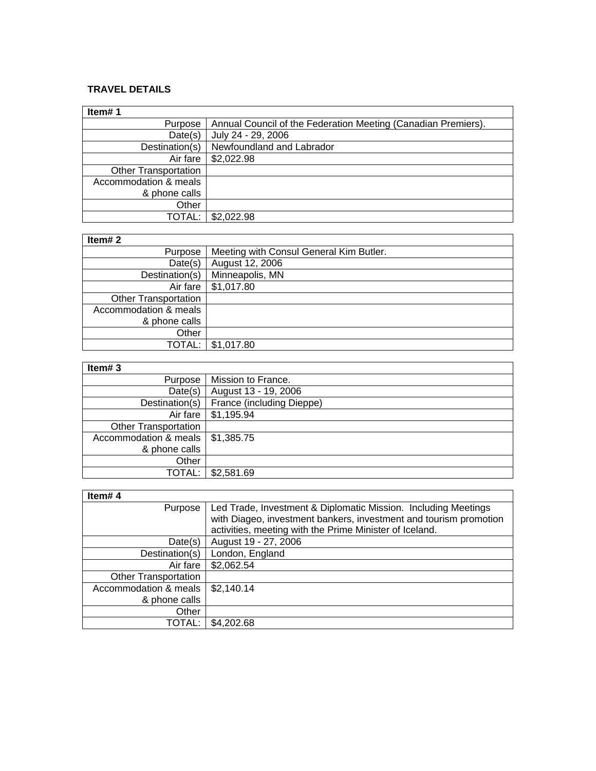#### **TRAVEL DETAILS**

| Item#1                      |                                                               |
|-----------------------------|---------------------------------------------------------------|
| Purpose                     | Annual Council of the Federation Meeting (Canadian Premiers). |
| Date(s)                     | July 24 - 29, 2006                                            |
| Destination(s)              | Newfoundland and Labrador                                     |
| Air fare                    | \$2,022.98                                                    |
| <b>Other Transportation</b> |                                                               |
| Accommodation & meals       |                                                               |
| & phone calls               |                                                               |
| Other                       |                                                               |
| TOTAL:                      | \$2,022.98                                                    |

### **Item# 2**

| Item# $2$                   |                                         |  |
|-----------------------------|-----------------------------------------|--|
| Purpose                     | Meeting with Consul General Kim Butler. |  |
| Date(s)                     | August 12, 2006                         |  |
| Destination(s)              | Minneapolis, MN                         |  |
| Air fare                    | \$1,017.80                              |  |
| <b>Other Transportation</b> |                                         |  |
| Accommodation & meals       |                                         |  |
| & phone calls               |                                         |  |
| Other                       |                                         |  |
| TOTAL:                      | \$1,017.80                              |  |

## **Item# 3**

| Mission to France.                 |
|------------------------------------|
| August 13 - 19, 2006               |
| France (including Dieppe)          |
| \$1,195.94<br>Air fare             |
|                                    |
| Accommodation & meals   \$1,385.75 |
|                                    |
|                                    |
| \$2,581.69<br><b>TOTAL:</b>        |
|                                    |

ī

### **Item# 4**

| Item#4                      |                                                                   |
|-----------------------------|-------------------------------------------------------------------|
| Purpose                     | Led Trade, Investment & Diplomatic Mission. Including Meetings    |
|                             | with Diageo, investment bankers, investment and tourism promotion |
|                             | activities, meeting with the Prime Minister of Iceland.           |
| Date(s)                     | August 19 - 27, 2006                                              |
| Destination(s)              | London, England                                                   |
| Air fare                    | \$2,062.54                                                        |
| <b>Other Transportation</b> |                                                                   |
| Accommodation & meals       | \$2,140.14                                                        |
| & phone calls               |                                                                   |
| Other                       |                                                                   |
| TOTAL:                      | \$4,202.68                                                        |